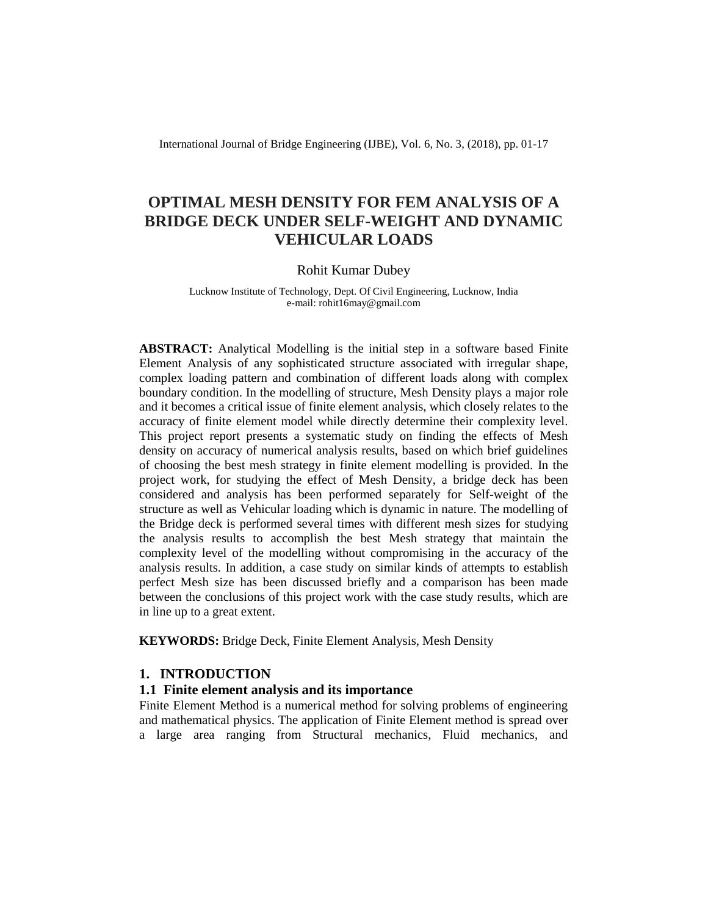International Journal of Bridge Engineering (IJBE), Vol. 6, No. 3, (2018), pp. 01-17

# **OPTIMAL MESH DENSITY FOR FEM ANALYSIS OF A BRIDGE DECK UNDER SELF-WEIGHT AND DYNAMIC VEHICULAR LOADS**

### Rohit Kumar Dubey

Lucknow Institute of Technology, Dept. Of Civil Engineering, Lucknow, India e-mail: rohit16may@gmail.com

**ABSTRACT:** Analytical Modelling is the initial step in a software based Finite Element Analysis of any sophisticated structure associated with irregular shape, complex loading pattern and combination of different loads along with complex boundary condition. In the modelling of structure, Mesh Density plays a major role and it becomes a critical issue of finite element analysis, which closely relates to the accuracy of finite element model while directly determine their complexity level. This project report presents a systematic study on finding the effects of Mesh density on accuracy of numerical analysis results, based on which brief guidelines of choosing the best mesh strategy in finite element modelling is provided. In the project work, for studying the effect of Mesh Density, a bridge deck has been considered and analysis has been performed separately for Self-weight of the structure as well as Vehicular loading which is dynamic in nature. The modelling of the Bridge deck is performed several times with different mesh sizes for studying the analysis results to accomplish the best Mesh strategy that maintain the complexity level of the modelling without compromising in the accuracy of the analysis results. In addition, a case study on similar kinds of attempts to establish perfect Mesh size has been discussed briefly and a comparison has been made between the conclusions of this project work with the case study results, which are in line up to a great extent.

**KEYWORDS:** Bridge Deck, Finite Element Analysis, Mesh Density

## **1. INTRODUCTION**

## **1.1 Finite element analysis and its importance**

Finite Element Method is a numerical method for solving problems of engineering and mathematical physics. The application of Finite Element method is spread over a large area ranging from Structural mechanics, Fluid mechanics, and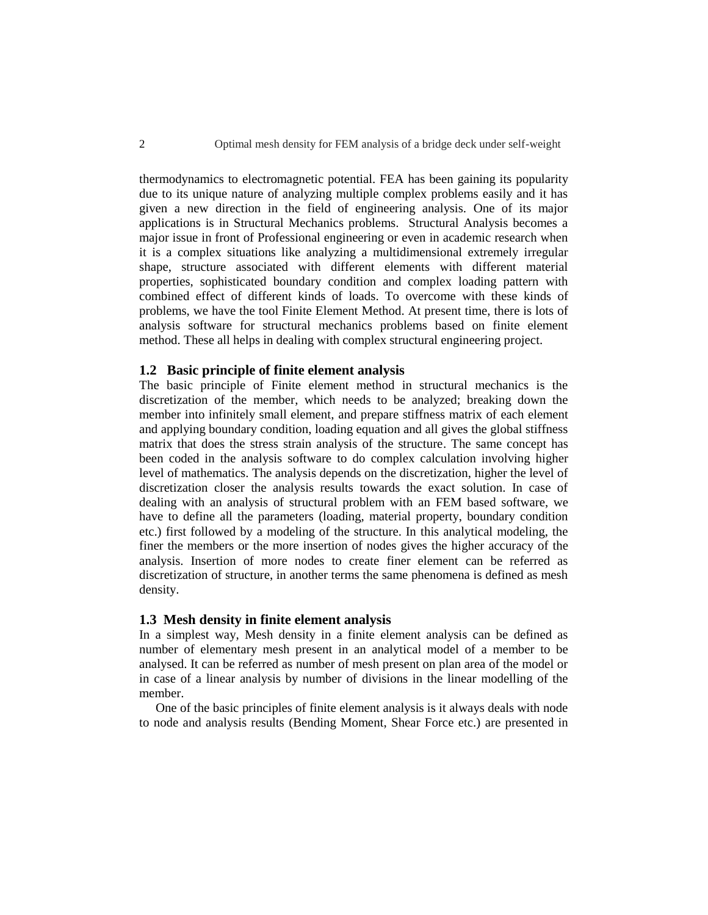thermodynamics to electromagnetic potential. FEA has been gaining its popularity due to its unique nature of analyzing multiple complex problems easily and it has given a new direction in the field of engineering analysis. One of its major applications is in Structural Mechanics problems. Structural Analysis becomes a major issue in front of Professional engineering or even in academic research when it is a complex situations like analyzing a multidimensional extremely irregular shape, structure associated with different elements with different material properties, sophisticated boundary condition and complex loading pattern with combined effect of different kinds of loads. To overcome with these kinds of problems, we have the tool Finite Element Method. At present time, there is lots of analysis software for structural mechanics problems based on finite element method. These all helps in dealing with complex structural engineering project.

### **1.2 Basic principle of finite element analysis**

The basic principle of Finite element method in structural mechanics is the discretization of the member, which needs to be analyzed; breaking down the member into infinitely small element, and prepare stiffness matrix of each element and applying boundary condition, loading equation and all gives the global stiffness matrix that does the stress strain analysis of the structure. The same concept has been coded in the analysis software to do complex calculation involving higher level of mathematics. The analysis depends on the discretization, higher the level of discretization closer the analysis results towards the exact solution. In case of dealing with an analysis of structural problem with an FEM based software, we have to define all the parameters (loading, material property, boundary condition etc.) first followed by a modeling of the structure. In this analytical modeling, the finer the members or the more insertion of nodes gives the higher accuracy of the analysis. Insertion of more nodes to create finer element can be referred as discretization of structure, in another terms the same phenomena is defined as mesh density.

## **1.3 Mesh density in finite element analysis**

In a simplest way, Mesh density in a finite element analysis can be defined as number of elementary mesh present in an analytical model of a member to be analysed. It can be referred as number of mesh present on plan area of the model or in case of a linear analysis by number of divisions in the linear modelling of the member.

One of the basic principles of finite element analysis is it always deals with node to node and analysis results (Bending Moment, Shear Force etc.) are presented in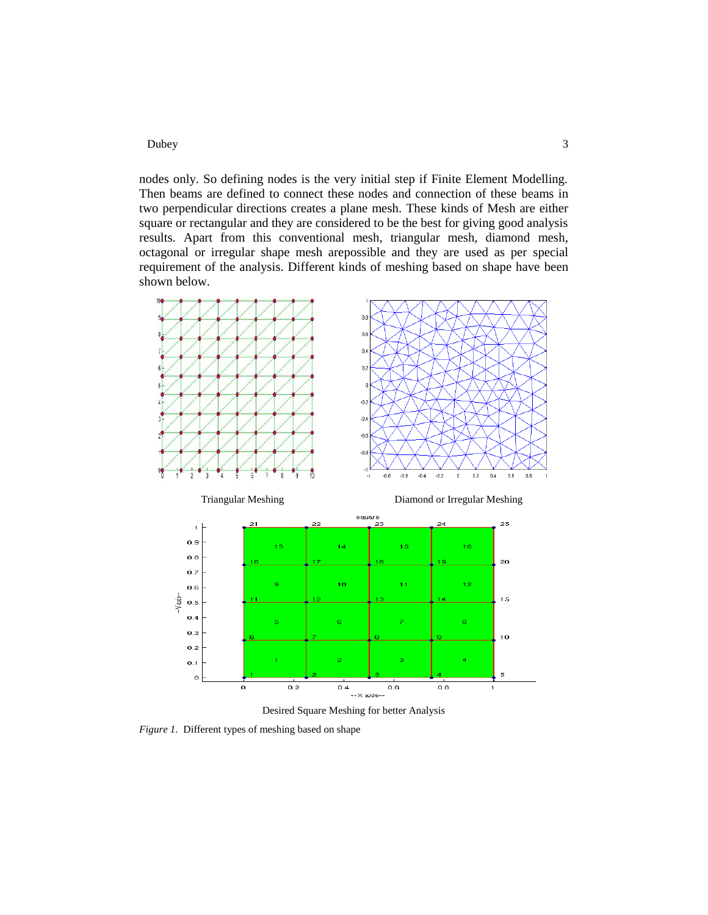nodes only. So defining nodes is the very initial step if Finite Element Modelling. Then beams are defined to connect these nodes and connection of these beams in two perpendicular directions creates a plane mesh. These kinds of Mesh are either square or rectangular and they are considered to be the best for giving good analysis results. Apart from this conventional mesh, triangular mesh, diamond mesh, octagonal or irregular shape mesh arepossible and they are used as per special requirement of the analysis. Different kinds of meshing based on shape have been shown below.



Desired Square Meshing for better Analysis

*Figure 1.* Different types of meshing based on shape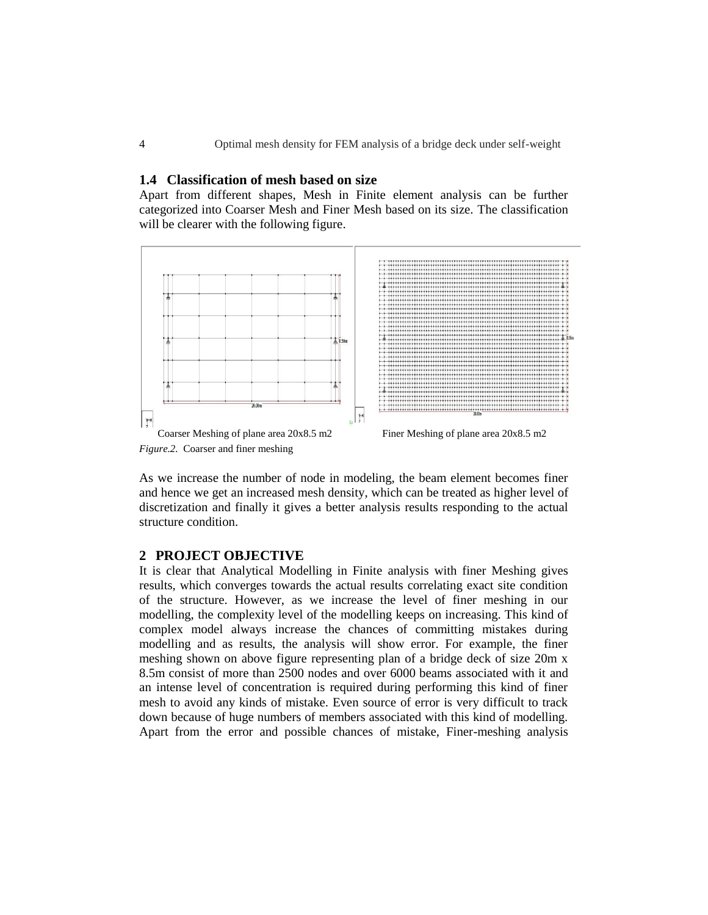## **1.4 Classification of mesh based on size**

Apart from different shapes, Mesh in Finite element analysis can be further categorized into Coarser Mesh and Finer Mesh based on its size. The classification will be clearer with the following figure.



As we increase the number of node in modeling, the beam element becomes finer and hence we get an increased mesh density, which can be treated as higher level of discretization and finally it gives a better analysis results responding to the actual structure condition.

## **2 PROJECT OBJECTIVE**

It is clear that Analytical Modelling in Finite analysis with finer Meshing gives results, which converges towards the actual results correlating exact site condition of the structure. However, as we increase the level of finer meshing in our modelling, the complexity level of the modelling keeps on increasing. This kind of complex model always increase the chances of committing mistakes during modelling and as results, the analysis will show error. For example, the finer meshing shown on above figure representing plan of a bridge deck of size 20m x 8.5m consist of more than 2500 nodes and over 6000 beams associated with it and an intense level of concentration is required during performing this kind of finer mesh to avoid any kinds of mistake. Even source of error is very difficult to track down because of huge numbers of members associated with this kind of modelling. Apart from the error and possible chances of mistake, Finer-meshing analysis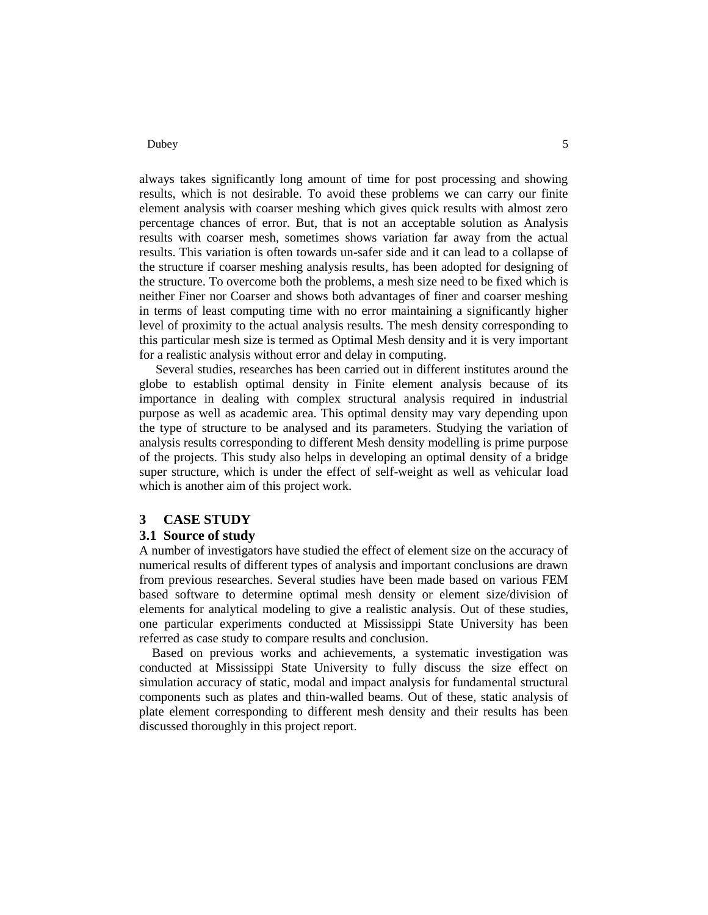always takes significantly long amount of time for post processing and showing results, which is not desirable. To avoid these problems we can carry our finite element analysis with coarser meshing which gives quick results with almost zero percentage chances of error. But, that is not an acceptable solution as Analysis results with coarser mesh, sometimes shows variation far away from the actual results. This variation is often towards un-safer side and it can lead to a collapse of the structure if coarser meshing analysis results, has been adopted for designing of the structure. To overcome both the problems, a mesh size need to be fixed which is neither Finer nor Coarser and shows both advantages of finer and coarser meshing in terms of least computing time with no error maintaining a significantly higher level of proximity to the actual analysis results. The mesh density corresponding to this particular mesh size is termed as Optimal Mesh density and it is very important for a realistic analysis without error and delay in computing.

Several studies, researches has been carried out in different institutes around the globe to establish optimal density in Finite element analysis because of its importance in dealing with complex structural analysis required in industrial purpose as well as academic area. This optimal density may vary depending upon the type of structure to be analysed and its parameters. Studying the variation of analysis results corresponding to different Mesh density modelling is prime purpose of the projects. This study also helps in developing an optimal density of a bridge super structure, which is under the effect of self-weight as well as vehicular load which is another aim of this project work.

### **3 CASE STUDY**

### **3.1 Source of study**

A number of investigators have studied the effect of element size on the accuracy of numerical results of different types of analysis and important conclusions are drawn from previous researches. Several studies have been made based on various FEM based software to determine optimal mesh density or element size/division of elements for analytical modeling to give a realistic analysis. Out of these studies, one particular experiments conducted at Mississippi State University has been referred as case study to compare results and conclusion.

 Based on previous works and achievements, a systematic investigation was conducted at Mississippi State University to fully discuss the size effect on simulation accuracy of static, modal and impact analysis for fundamental structural components such as plates and thin-walled beams. Out of these, static analysis of plate element corresponding to different mesh density and their results has been discussed thoroughly in this project report.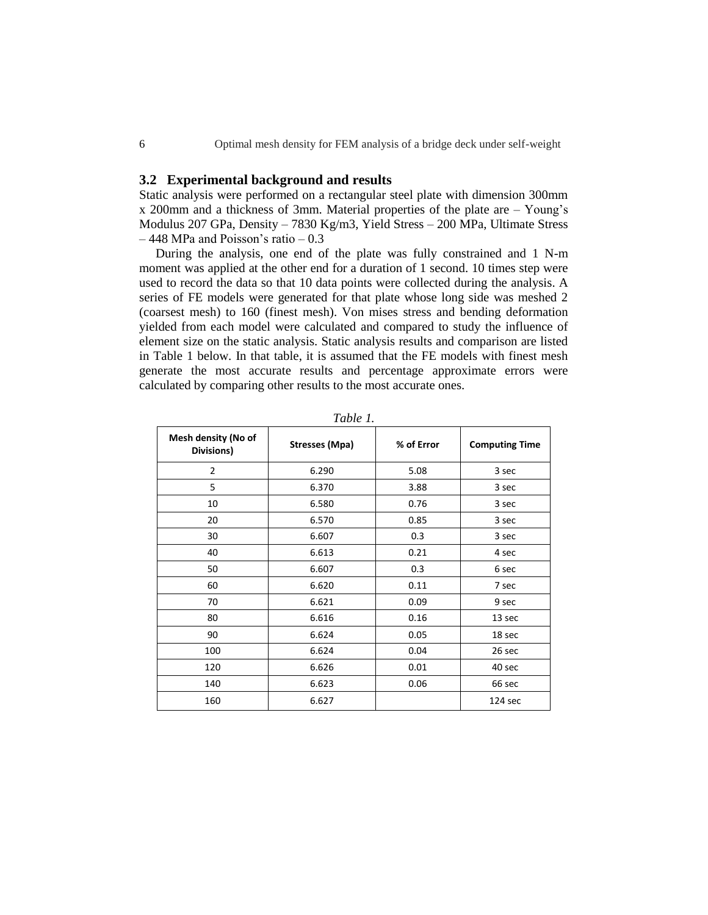## **3.2 Experimental background and results**

Static analysis were performed on a rectangular steel plate with dimension 300mm x 200mm and a thickness of 3mm. Material properties of the plate are – Young's Modulus 207 GPa, Density – 7830 Kg/m3, Yield Stress – 200 MPa, Ultimate Stress – 448 MPa and Poisson's ratio – 0.3

During the analysis, one end of the plate was fully constrained and 1 N-m moment was applied at the other end for a duration of 1 second. 10 times step were used to record the data so that 10 data points were collected during the analysis. A series of FE models were generated for that plate whose long side was meshed 2 (coarsest mesh) to 160 (finest mesh). Von mises stress and bending deformation yielded from each model were calculated and compared to study the influence of element size on the static analysis. Static analysis results and comparison are listed in Table 1 below. In that table, it is assumed that the FE models with finest mesh generate the most accurate results and percentage approximate errors were calculated by comparing other results to the most accurate ones.

| Mesh density (No of<br>Divisions) | <b>Stresses (Mpa)</b> | % of Error | <b>Computing Time</b> |
|-----------------------------------|-----------------------|------------|-----------------------|
| $\overline{2}$                    | 6.290                 | 5.08       | 3 sec                 |
| 5                                 | 6.370                 | 3.88       | 3 sec                 |
| 10                                | 6.580                 | 0.76       | 3 sec                 |
| 20                                | 6.570                 | 0.85       | 3 sec                 |
| 30                                | 6.607                 | 0.3        | 3 sec                 |
| 40                                | 6.613                 | 0.21       | 4 sec                 |
| 50                                | 6.607                 | 0.3        | 6 sec                 |
| 60                                | 6.620                 | 0.11       | 7 sec                 |
| 70                                | 6.621                 | 0.09       | 9 sec                 |
| 80                                | 6.616                 | 0.16       | 13 sec                |
| 90                                | 6.624                 | 0.05       | 18 sec                |
| 100                               | 6.624                 | 0.04       | 26 sec                |
| 120                               | 6.626                 | 0.01       | 40 sec                |
| 140                               | 6.623                 | 0.06       | 66 sec                |
| 160                               | 6.627                 |            | 124 sec               |

*Table 1.*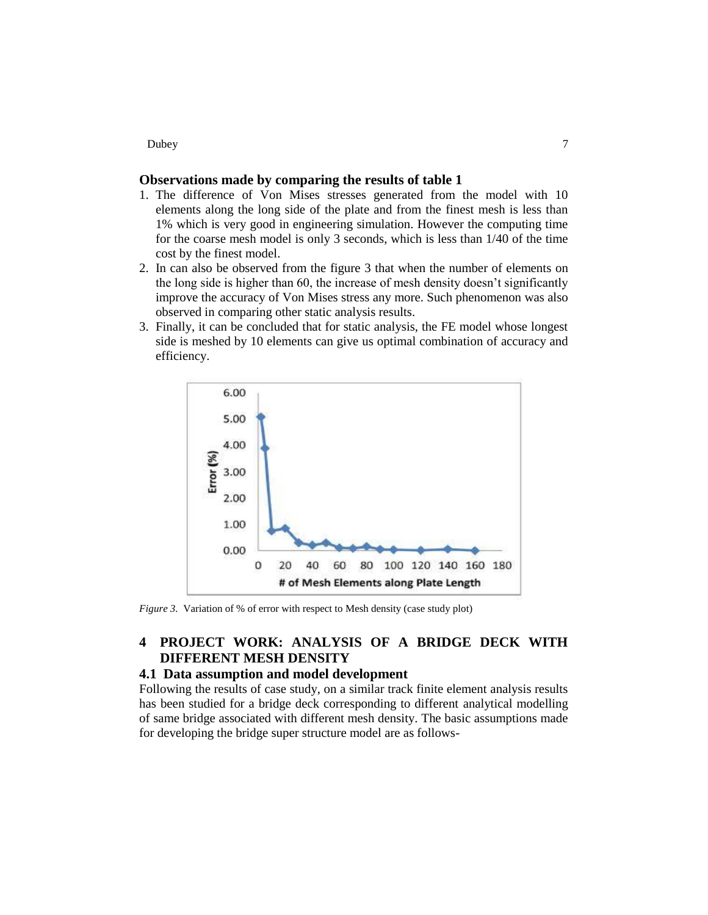## **Observations made by comparing the results of table 1**

- 1. The difference of Von Mises stresses generated from the model with 10 elements along the long side of the plate and from the finest mesh is less than 1% which is very good in engineering simulation. However the computing time for the coarse mesh model is only 3 seconds, which is less than 1/40 of the time cost by the finest model.
- 2. In can also be observed from the figure 3 that when the number of elements on the long side is higher than 60, the increase of mesh density doesn't significantly improve the accuracy of Von Mises stress any more. Such phenomenon was also observed in comparing other static analysis results.
- 3. Finally, it can be concluded that for static analysis, the FE model whose longest side is meshed by 10 elements can give us optimal combination of accuracy and efficiency.



*Figure 3.* Variation of % of error with respect to Mesh density (case study plot)

## **4 PROJECT WORK: ANALYSIS OF A BRIDGE DECK WITH DIFFERENT MESH DENSITY**

## **4.1 Data assumption and model development**

Following the results of case study, on a similar track finite element analysis results has been studied for a bridge deck corresponding to different analytical modelling of same bridge associated with different mesh density. The basic assumptions made for developing the bridge super structure model are as follows-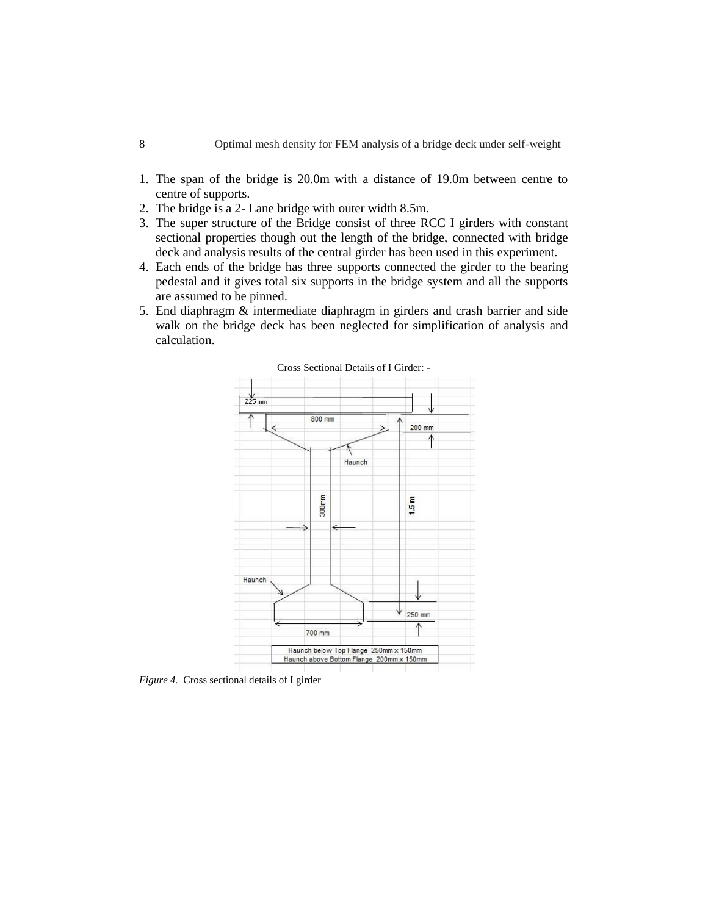- 1. The span of the bridge is 20.0m with a distance of 19.0m between centre to centre of supports.
- 2. The bridge is a 2- Lane bridge with outer width 8.5m.
- 3. The super structure of the Bridge consist of three RCC I girders with constant sectional properties though out the length of the bridge, connected with bridge deck and analysis results of the central girder has been used in this experiment.
- 4. Each ends of the bridge has three supports connected the girder to the bearing pedestal and it gives total six supports in the bridge system and all the supports are assumed to be pinned.
- 5. End diaphragm & intermediate diaphragm in girders and crash barrier and side walk on the bridge deck has been neglected for simplification of analysis and calculation.



*Figure 4.* Cross sectional details of I girder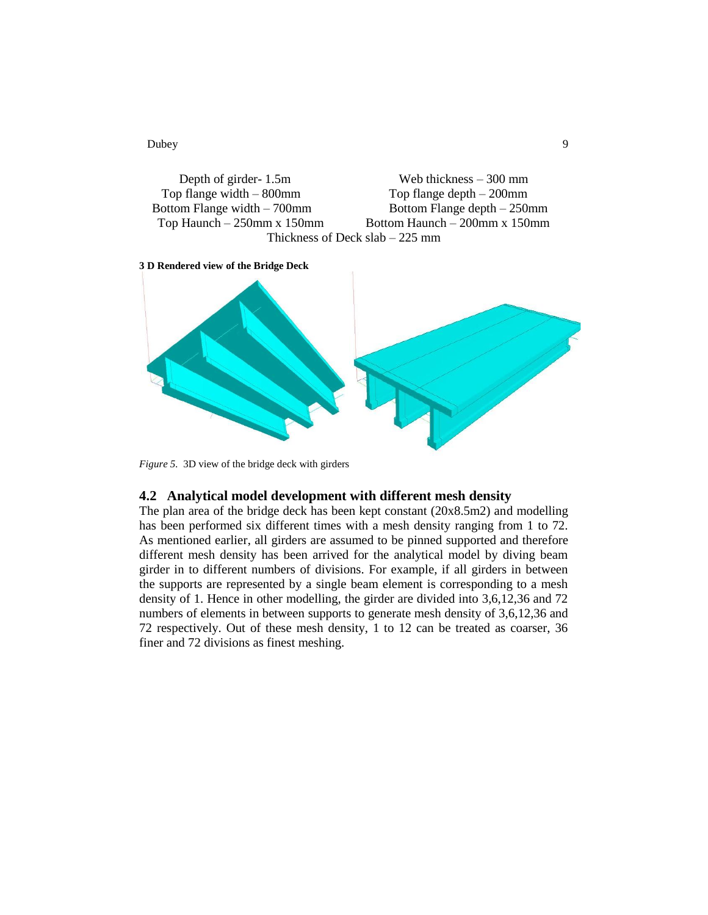Depth of girder- 1.5m Web thickness – 300 mm Top flange width – 800mm Top flange depth – 200mm Bottom Flange width – 700mm Bottom Flange depth – 250mm Top Haunch – 250mm x 150mm Bottom Haunch – 200mm x 150mm Thickness of Deck slab – 225 mm





*Figure 5.* 3D view of the bridge deck with girders

## **4.2 Analytical model development with different mesh density**

The plan area of the bridge deck has been kept constant (20x8.5m2) and modelling has been performed six different times with a mesh density ranging from 1 to 72. As mentioned earlier, all girders are assumed to be pinned supported and therefore different mesh density has been arrived for the analytical model by diving beam girder in to different numbers of divisions. For example, if all girders in between the supports are represented by a single beam element is corresponding to a mesh density of 1. Hence in other modelling, the girder are divided into 3,6,12,36 and 72 numbers of elements in between supports to generate mesh density of 3,6,12,36 and 72 respectively. Out of these mesh density, 1 to 12 can be treated as coarser, 36 finer and 72 divisions as finest meshing.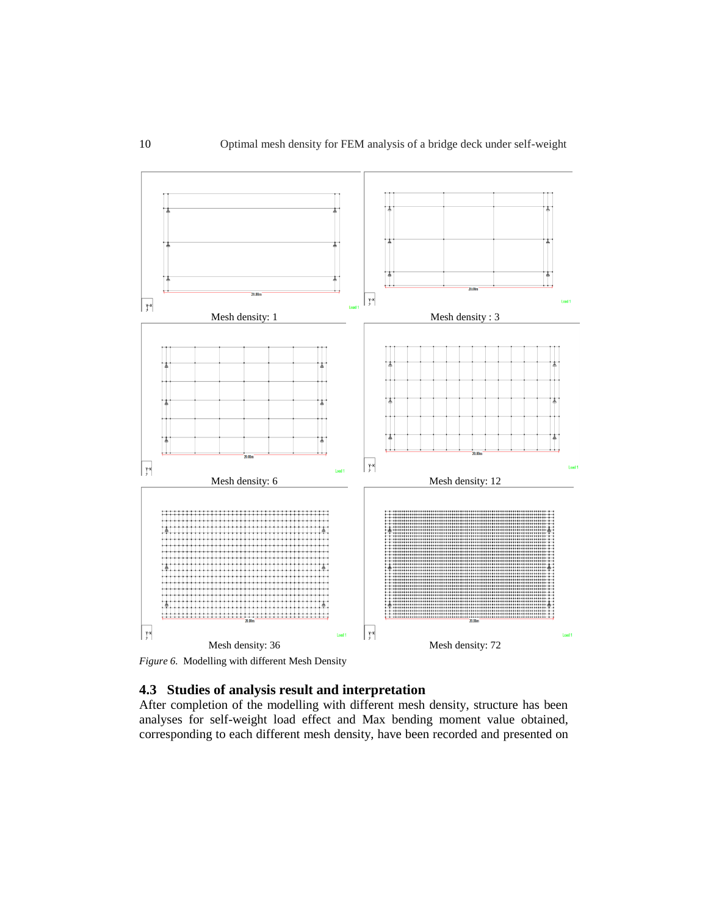

*Figure 6.* Modelling with different Mesh Density

## **4.3 Studies of analysis result and interpretation**

After completion of the modelling with different mesh density, structure has been analyses for self-weight load effect and Max bending moment value obtained, corresponding to each different mesh density, have been recorded and presented on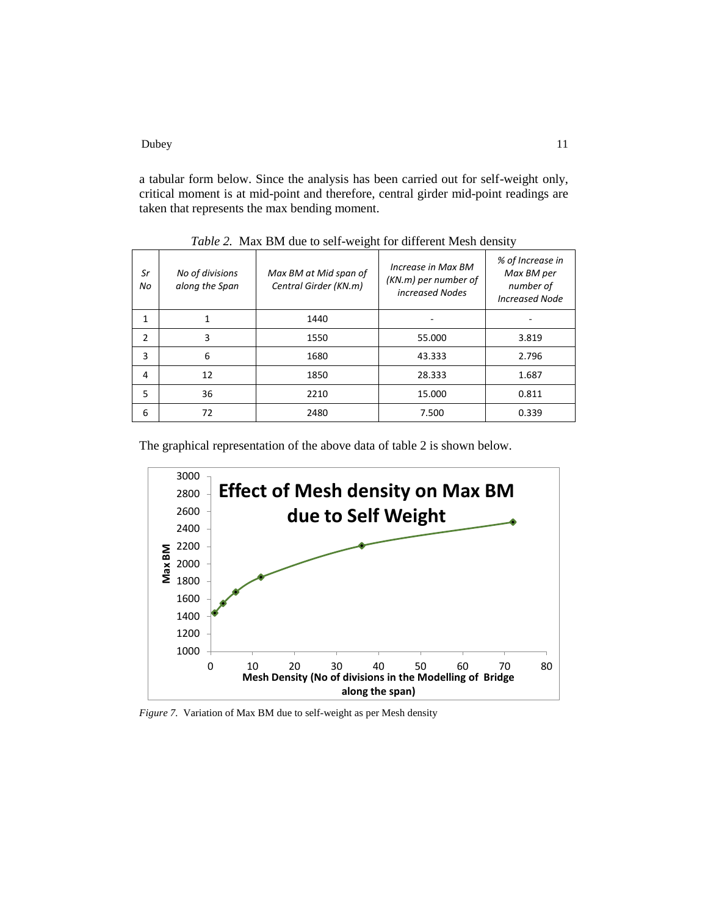Dubey 11 and 12 and 12 and 13 and 13 and 13 and 14 and 15 and 16 and 17 and 17 and 17 and 17 and 17 and 17 and 17 and 17 and 17 and 17 and 17 and 17 and 17 and 17 and 17 and 17 and 17 and 17 and 17 and 17 and 17 and 17 and

a tabular form below. Since the analysis has been carried out for self-weight only, critical moment is at mid-point and therefore, central girder mid-point readings are taken that represents the max bending moment.

| Sr<br>No       | No of divisions<br>along the Span | Max BM at Mid span of<br>Central Girder (KN.m) | Increase in Max BM<br>(KN.m) per number of<br>increased Nodes | % of Increase in<br>Max BM per<br>number of<br><b>Increased Node</b> |  |  |
|----------------|-----------------------------------|------------------------------------------------|---------------------------------------------------------------|----------------------------------------------------------------------|--|--|
| 1              |                                   | 1440                                           |                                                               |                                                                      |  |  |
| $\overline{2}$ | 3                                 | 1550                                           | 55.000                                                        | 3.819                                                                |  |  |
| 3              | 6                                 | 1680                                           | 43.333                                                        | 2.796                                                                |  |  |
| 4              | 12                                | 1850                                           | 28.333                                                        | 1.687                                                                |  |  |
| 5              | 36                                | 2210                                           | 15.000                                                        | 0.811                                                                |  |  |
| 6              | 72                                | 2480                                           | 7.500                                                         | 0.339                                                                |  |  |

*Table 2.* Max BM due to self-weight for different Mesh density

The graphical representation of the above data of table 2 is shown below.



*Figure 7.* Variation of Max BM due to self-weight as per Mesh density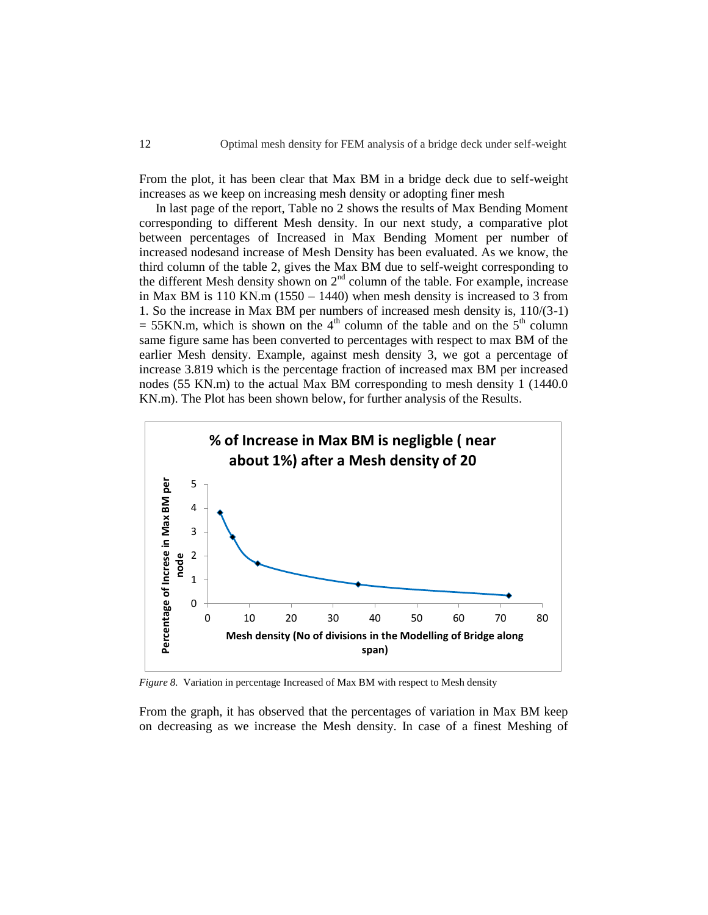From the plot, it has been clear that Max BM in a bridge deck due to self-weight increases as we keep on increasing mesh density or adopting finer mesh

In last page of the report, Table no 2 shows the results of Max Bending Moment corresponding to different Mesh density. In our next study, a comparative plot between percentages of Increased in Max Bending Moment per number of increased nodesand increase of Mesh Density has been evaluated. As we know, the third column of the table 2, gives the Max BM due to self-weight corresponding to the different Mesh density shown on  $2<sup>nd</sup>$  column of the table. For example, increase in Max BM is  $110$  KN.m  $(1550 - 1440)$  when mesh density is increased to 3 from 1. So the increase in Max BM per numbers of increased mesh density is, 110/(3-1)  $= 55$ KN.m, which is shown on the 4<sup>th</sup> column of the table and on the 5<sup>th</sup> column same figure same has been converted to percentages with respect to max BM of the earlier Mesh density. Example, against mesh density 3, we got a percentage of increase 3.819 which is the percentage fraction of increased max BM per increased nodes (55 KN.m) to the actual Max BM corresponding to mesh density 1 (1440.0 KN.m). The Plot has been shown below, for further analysis of the Results.



*Figure 8.* Variation in percentage Increased of Max BM with respect to Mesh density

From the graph, it has observed that the percentages of variation in Max BM keep on decreasing as we increase the Mesh density. In case of a finest Meshing of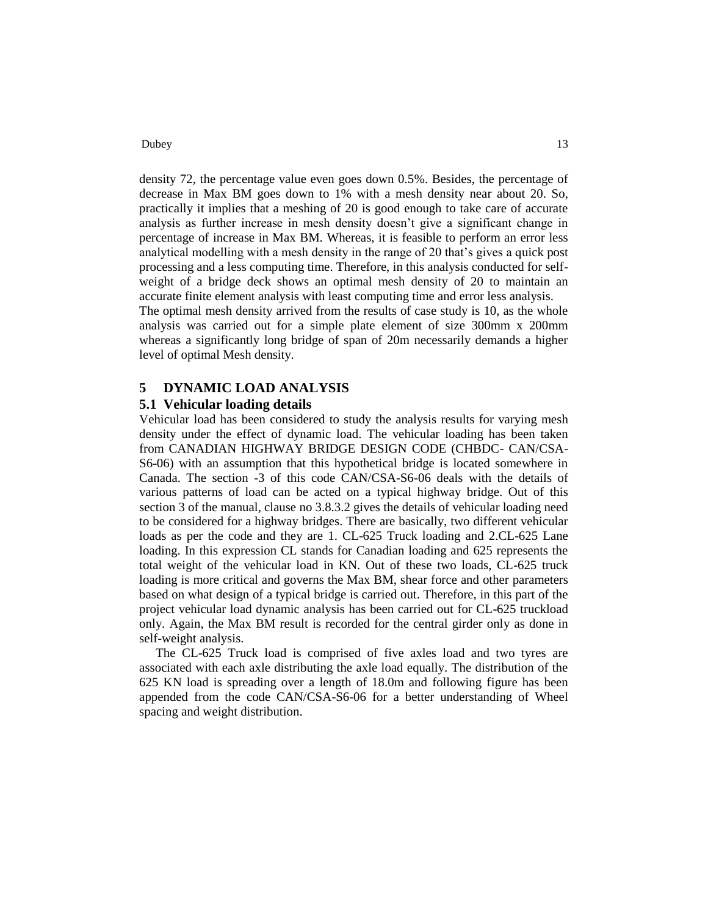### Dubey 2012 13

density 72, the percentage value even goes down 0.5%. Besides, the percentage of decrease in Max BM goes down to 1% with a mesh density near about 20. So, practically it implies that a meshing of 20 is good enough to take care of accurate analysis as further increase in mesh density doesn't give a significant change in percentage of increase in Max BM. Whereas, it is feasible to perform an error less analytical modelling with a mesh density in the range of 20 that's gives a quick post processing and a less computing time. Therefore, in this analysis conducted for selfweight of a bridge deck shows an optimal mesh density of 20 to maintain an accurate finite element analysis with least computing time and error less analysis.

The optimal mesh density arrived from the results of case study is 10, as the whole analysis was carried out for a simple plate element of size 300mm x 200mm whereas a significantly long bridge of span of 20m necessarily demands a higher level of optimal Mesh density.

## **5 DYNAMIC LOAD ANALYSIS**

#### **5.1 Vehicular loading details**

Vehicular load has been considered to study the analysis results for varying mesh density under the effect of dynamic load. The vehicular loading has been taken from CANADIAN HIGHWAY BRIDGE DESIGN CODE (CHBDC- CAN/CSA-S6-06) with an assumption that this hypothetical bridge is located somewhere in Canada. The section -3 of this code CAN/CSA-S6-06 deals with the details of various patterns of load can be acted on a typical highway bridge. Out of this section 3 of the manual, clause no 3.8.3.2 gives the details of vehicular loading need to be considered for a highway bridges. There are basically, two different vehicular loads as per the code and they are 1. CL-625 Truck loading and 2.CL-625 Lane loading. In this expression CL stands for Canadian loading and 625 represents the total weight of the vehicular load in KN. Out of these two loads, CL-625 truck loading is more critical and governs the Max BM, shear force and other parameters based on what design of a typical bridge is carried out. Therefore, in this part of the project vehicular load dynamic analysis has been carried out for CL-625 truckload only. Again, the Max BM result is recorded for the central girder only as done in self-weight analysis.

The CL-625 Truck load is comprised of five axles load and two tyres are associated with each axle distributing the axle load equally. The distribution of the 625 KN load is spreading over a length of 18.0m and following figure has been appended from the code CAN/CSA-S6-06 for a better understanding of Wheel spacing and weight distribution.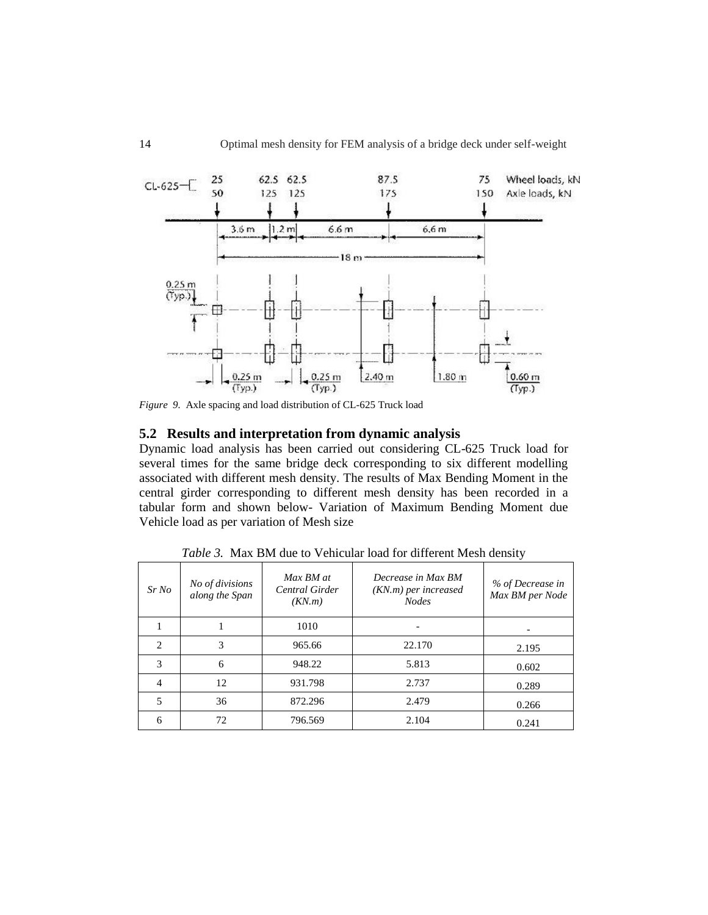

*Figure 9.* Axle spacing and load distribution of CL-625 Truck load

## **5.2 Results and interpretation from dynamic analysis**

Dynamic load analysis has been carried out considering CL-625 Truck load for several times for the same bridge deck corresponding to six different modelling associated with different mesh density. The results of Max Bending Moment in the central girder corresponding to different mesh density has been recorded in a tabular form and shown below- Variation of Maximum Bending Moment due Vehicle load as per variation of Mesh size

| SrNo                        | No of divisions<br>along the Span | Max BM at<br>Central Girder<br>(KN.m) | Decrease in Max BM<br>(KN.m) per increased<br><b>Nodes</b> | % of Decrease in<br>Max BM per Node |
|-----------------------------|-----------------------------------|---------------------------------------|------------------------------------------------------------|-------------------------------------|
|                             |                                   | 1010                                  |                                                            |                                     |
| $\mathcal{D}_{\mathcal{L}}$ | 3                                 | 965.66                                | 22.170                                                     | 2.195                               |
| 3                           | 6                                 | 948.22                                | 5.813                                                      | 0.602                               |
| $\overline{4}$              | 12                                | 931.798                               | 2.737                                                      | 0.289                               |
| 5                           | 36                                | 872.296                               | 2.479                                                      | 0.266                               |
| 6                           | 72                                | 796.569                               | 2.104                                                      | 0.241                               |

*Table 3.* Max BM due to Vehicular load for different Mesh density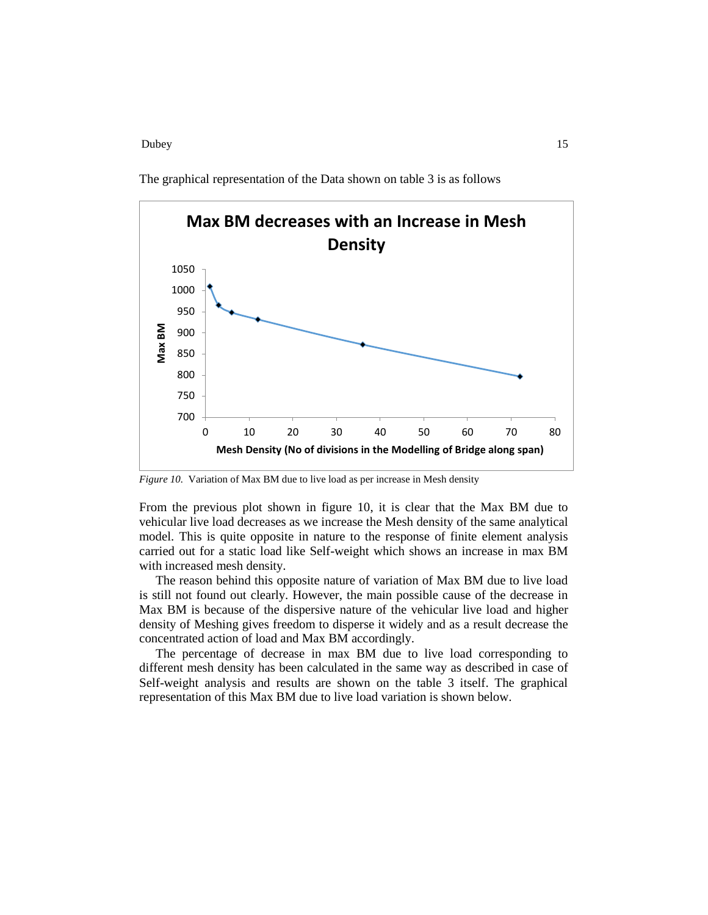Dubey 2012 15

The graphical representation of the Data shown on table 3 is as follows



*Figure 10.* Variation of Max BM due to live load as per increase in Mesh density

From the previous plot shown in figure 10, it is clear that the Max BM due to vehicular live load decreases as we increase the Mesh density of the same analytical model. This is quite opposite in nature to the response of finite element analysis carried out for a static load like Self-weight which shows an increase in max BM with increased mesh density.

The reason behind this opposite nature of variation of Max BM due to live load is still not found out clearly. However, the main possible cause of the decrease in Max BM is because of the dispersive nature of the vehicular live load and higher density of Meshing gives freedom to disperse it widely and as a result decrease the concentrated action of load and Max BM accordingly.

The percentage of decrease in max BM due to live load corresponding to different mesh density has been calculated in the same way as described in case of Self-weight analysis and results are shown on the table 3 itself. The graphical representation of this Max BM due to live load variation is shown below.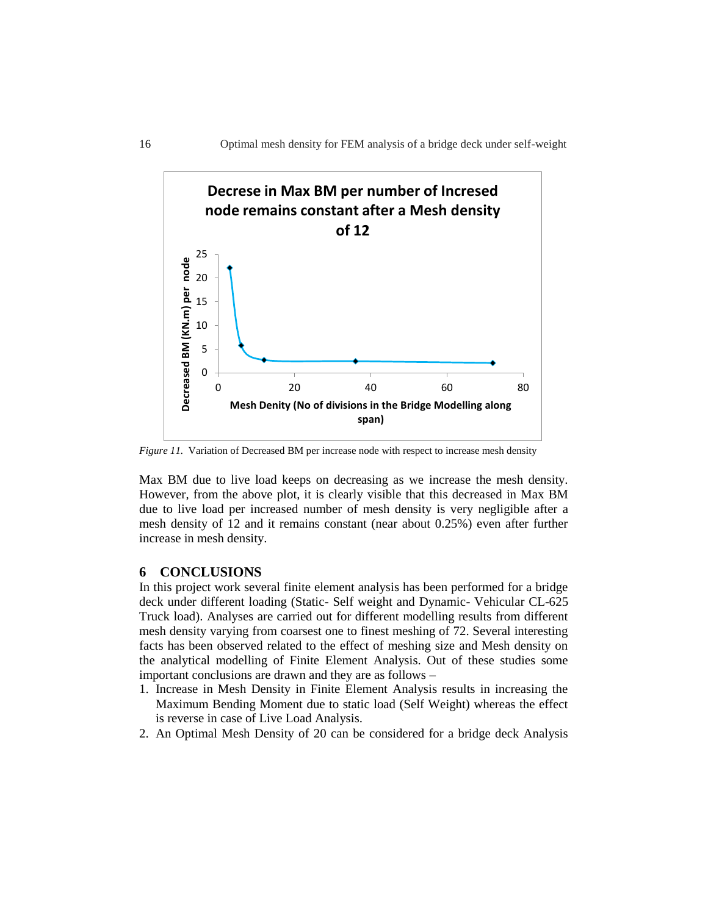

*Figure 11.* Variation of Decreased BM per increase node with respect to increase mesh density

Max BM due to live load keeps on decreasing as we increase the mesh density. However, from the above plot, it is clearly visible that this decreased in Max BM due to live load per increased number of mesh density is very negligible after a mesh density of 12 and it remains constant (near about 0.25%) even after further increase in mesh density.

## **6 CONCLUSIONS**

In this project work several finite element analysis has been performed for a bridge deck under different loading (Static- Self weight and Dynamic- Vehicular CL-625 Truck load). Analyses are carried out for different modelling results from different mesh density varying from coarsest one to finest meshing of 72. Several interesting facts has been observed related to the effect of meshing size and Mesh density on the analytical modelling of Finite Element Analysis. Out of these studies some important conclusions are drawn and they are as follows –

- 1. Increase in Mesh Density in Finite Element Analysis results in increasing the Maximum Bending Moment due to static load (Self Weight) whereas the effect is reverse in case of Live Load Analysis.
- 2. An Optimal Mesh Density of 20 can be considered for a bridge deck Analysis